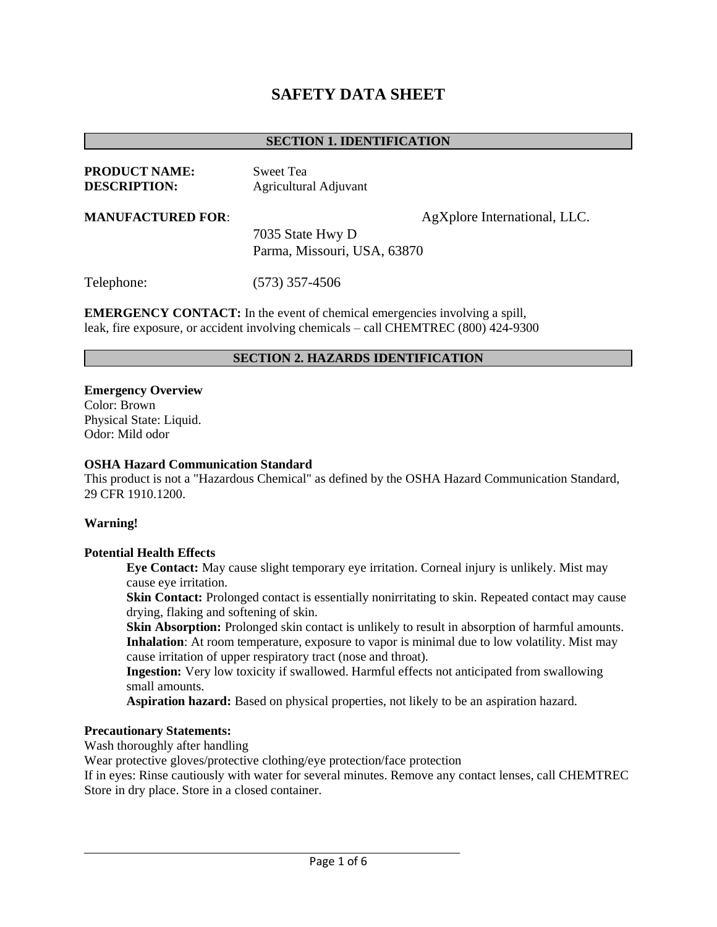# **SAFETY DATA SHEET**

#### **SECTION 1. IDENTIFICATION**

| <b>PRODUCT NAME:</b> | Sweet Tea                    |
|----------------------|------------------------------|
| <b>DESCRIPTION:</b>  | <b>Agricultural Adjuvant</b> |
|                      |                              |

**MANUFACTURED FOR:** AgXplore International, LLC.

7035 State Hwy D Parma, Missouri, USA, 63870

Telephone: (573) 357-4506

**EMERGENCY CONTACT:** In the event of chemical emergencies involving a spill, leak, fire exposure, or accident involving chemicals – call CHEMTREC (800) 424-9300

#### **SECTION 2. HAZARDS IDENTIFICATION**

**Emergency Overview**  Color: Brown Physical State: Liquid. Odor: Mild odor

#### **OSHA Hazard Communication Standard**

This product is not a "Hazardous Chemical" as defined by the OSHA Hazard Communication Standard, 29 CFR 1910.1200.

#### **Warning!**

#### **Potential Health Effects**

**Eye Contact:** May cause slight temporary eye irritation. Corneal injury is unlikely. Mist may cause eye irritation.

**Skin Contact:** Prolonged contact is essentially nonirritating to skin. Repeated contact may cause drying, flaking and softening of skin.

**Skin Absorption:** Prolonged skin contact is unlikely to result in absorption of harmful amounts. **Inhalation**: At room temperature, exposure to vapor is minimal due to low volatility. Mist may cause irritation of upper respiratory tract (nose and throat).

**Ingestion:** Very low toxicity if swallowed. Harmful effects not anticipated from swallowing small amounts.

**Aspiration hazard:** Based on physical properties, not likely to be an aspiration hazard.

#### **Precautionary Statements:**

Wash thoroughly after handling

Wear protective gloves/protective clothing/eye protection/face protection

If in eyes: Rinse cautiously with water for several minutes. Remove any contact lenses, call CHEMTREC Store in dry place. Store in a closed container.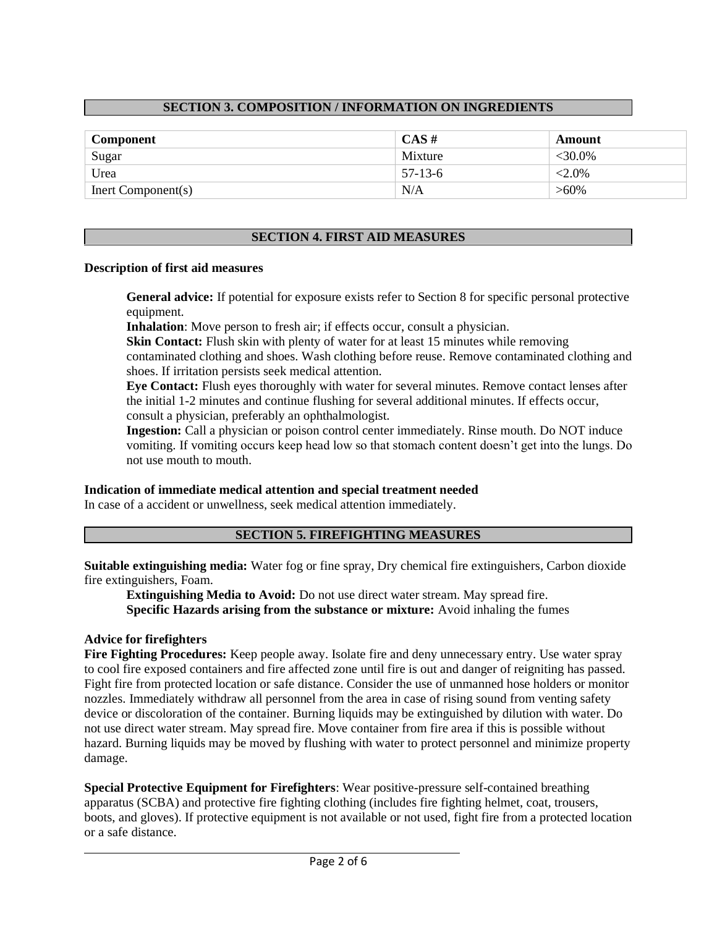# **SECTION 3. COMPOSITION / INFORMATION ON INGREDIENTS**

| Component          | $CAS \#$  | Amount    |
|--------------------|-----------|-----------|
| Sugar              | Mixture   | $<30.0\%$ |
| Urea               | $57-13-6$ | $<2.0\%$  |
| Inert Component(s) | N/A       | $>60\%$   |

### **SECTION 4. FIRST AID MEASURES**

#### **Description of first aid measures**

**General advice:** If potential for exposure exists refer to Section 8 for specific personal protective equipment.

**Inhalation**: Move person to fresh air; if effects occur, consult a physician.

**Skin Contact:** Flush skin with plenty of water for at least 15 minutes while removing contaminated clothing and shoes. Wash clothing before reuse. Remove contaminated clothing and shoes. If irritation persists seek medical attention.

**Eye Contact:** Flush eyes thoroughly with water for several minutes. Remove contact lenses after the initial 1-2 minutes and continue flushing for several additional minutes. If effects occur, consult a physician, preferably an ophthalmologist.

**Ingestion:** Call a physician or poison control center immediately. Rinse mouth. Do NOT induce vomiting. If vomiting occurs keep head low so that stomach content doesn't get into the lungs. Do not use mouth to mouth.

### **Indication of immediate medical attention and special treatment needed**

In case of a accident or unwellness, seek medical attention immediately.

### **SECTION 5. FIREFIGHTING MEASURES**

**Suitable extinguishing media:** Water fog or fine spray, Dry chemical fire extinguishers, Carbon dioxide fire extinguishers, Foam.

**Extinguishing Media to Avoid:** Do not use direct water stream. May spread fire. **Specific Hazards arising from the substance or mixture:** Avoid inhaling the fumes

### **Advice for firefighters**

**Fire Fighting Procedures:** Keep people away. Isolate fire and deny unnecessary entry. Use water spray to cool fire exposed containers and fire affected zone until fire is out and danger of reigniting has passed. Fight fire from protected location or safe distance. Consider the use of unmanned hose holders or monitor nozzles. Immediately withdraw all personnel from the area in case of rising sound from venting safety device or discoloration of the container. Burning liquids may be extinguished by dilution with water. Do not use direct water stream. May spread fire. Move container from fire area if this is possible without hazard. Burning liquids may be moved by flushing with water to protect personnel and minimize property damage.

**Special Protective Equipment for Firefighters**: Wear positive-pressure self-contained breathing apparatus (SCBA) and protective fire fighting clothing (includes fire fighting helmet, coat, trousers, boots, and gloves). If protective equipment is not available or not used, fight fire from a protected location or a safe distance.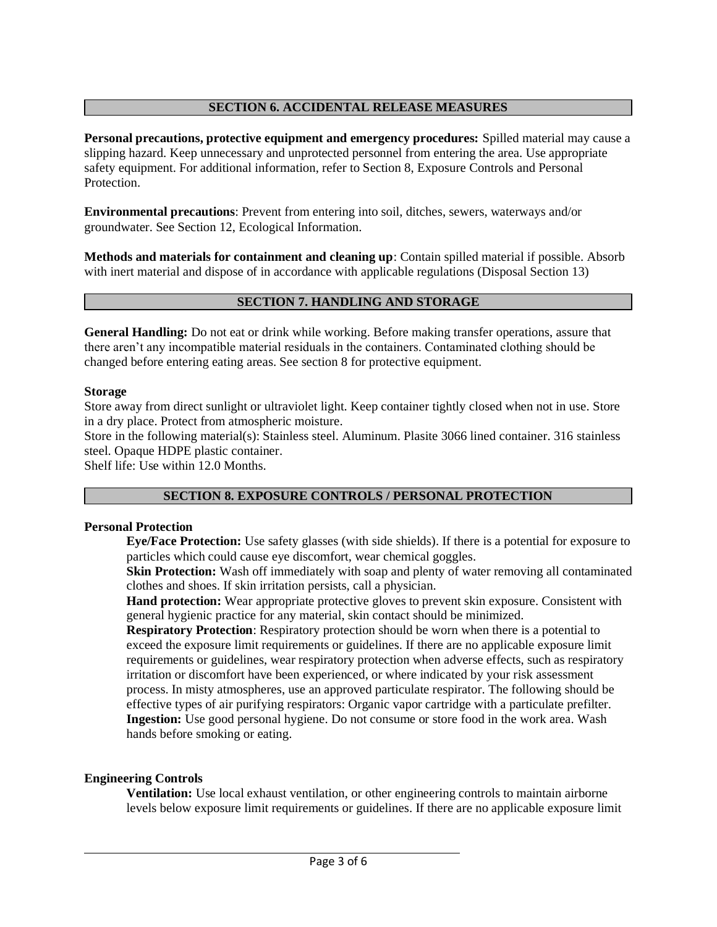## **SECTION 6. ACCIDENTAL RELEASE MEASURES**

**Personal precautions, protective equipment and emergency procedures:** Spilled material may cause a slipping hazard. Keep unnecessary and unprotected personnel from entering the area. Use appropriate safety equipment. For additional information, refer to Section 8, Exposure Controls and Personal Protection.

**Environmental precautions**: Prevent from entering into soil, ditches, sewers, waterways and/or groundwater. See Section 12, Ecological Information.

**Methods and materials for containment and cleaning up**: Contain spilled material if possible. Absorb with inert material and dispose of in accordance with applicable regulations (Disposal Section 13)

### **SECTION 7. HANDLING AND STORAGE**

**General Handling:** Do not eat or drink while working. Before making transfer operations, assure that there aren't any incompatible material residuals in the containers. Contaminated clothing should be changed before entering eating areas. See section 8 for protective equipment.

#### **Storage**

Store away from direct sunlight or ultraviolet light. Keep container tightly closed when not in use. Store in a dry place. Protect from atmospheric moisture.

Store in the following material(s): Stainless steel. Aluminum. Plasite 3066 lined container. 316 stainless steel. Opaque HDPE plastic container.

Shelf life: Use within 12.0 Months.

# **SECTION 8. EXPOSURE CONTROLS / PERSONAL PROTECTION**

### **Personal Protection**

**Eye/Face Protection:** Use safety glasses (with side shields). If there is a potential for exposure to particles which could cause eye discomfort, wear chemical goggles.

**Skin Protection:** Wash off immediately with soap and plenty of water removing all contaminated clothes and shoes. If skin irritation persists, call a physician.

**Hand protection:** Wear appropriate protective gloves to prevent skin exposure. Consistent with general hygienic practice for any material, skin contact should be minimized.

**Respiratory Protection**: Respiratory protection should be worn when there is a potential to exceed the exposure limit requirements or guidelines. If there are no applicable exposure limit requirements or guidelines, wear respiratory protection when adverse effects, such as respiratory irritation or discomfort have been experienced, or where indicated by your risk assessment process. In misty atmospheres, use an approved particulate respirator. The following should be effective types of air purifying respirators: Organic vapor cartridge with a particulate prefilter. **Ingestion:** Use good personal hygiene. Do not consume or store food in the work area. Wash hands before smoking or eating.

### **Engineering Controls**

**Ventilation:** Use local exhaust ventilation, or other engineering controls to maintain airborne levels below exposure limit requirements or guidelines. If there are no applicable exposure limit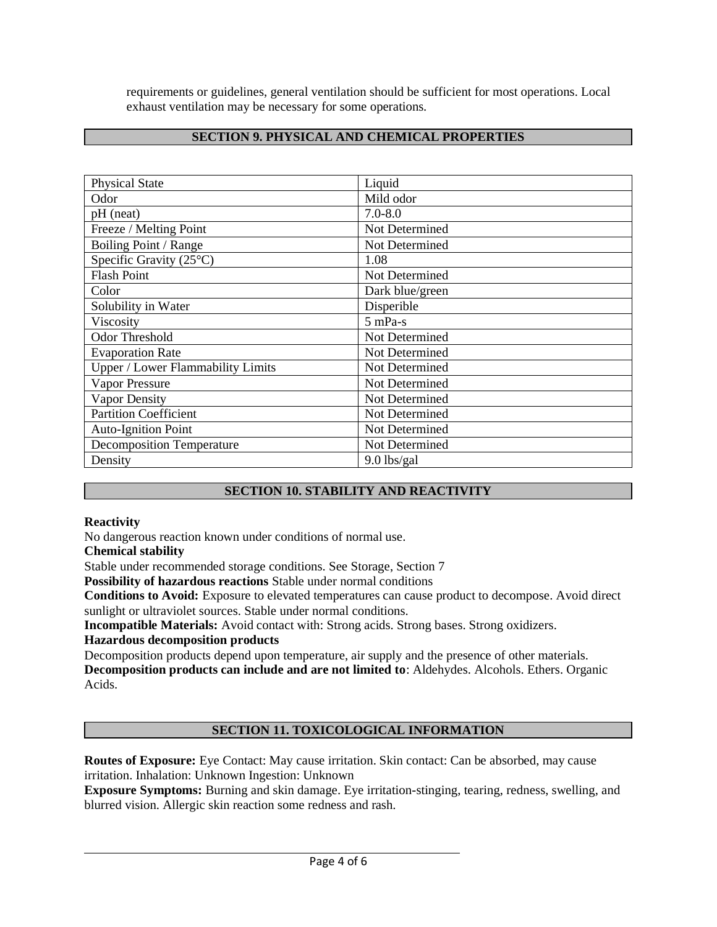requirements or guidelines, general ventilation should be sufficient for most operations. Local exhaust ventilation may be necessary for some operations.

### **SECTION 9. PHYSICAL AND CHEMICAL PROPERTIES**

| <b>Physical State</b>                    | Liquid          |  |
|------------------------------------------|-----------------|--|
| Odor                                     | Mild odor       |  |
| pH (neat)                                | $7.0 - 8.0$     |  |
| Freeze / Melting Point                   | Not Determined  |  |
| Boiling Point / Range                    | Not Determined  |  |
| Specific Gravity (25°C)                  | 1.08            |  |
| <b>Flash Point</b>                       | Not Determined  |  |
| Color                                    | Dark blue/green |  |
| Solubility in Water                      | Disperible      |  |
| Viscosity                                | $5$ mPa-s       |  |
| <b>Odor Threshold</b>                    | Not Determined  |  |
| <b>Evaporation Rate</b>                  | Not Determined  |  |
| <b>Upper / Lower Flammability Limits</b> | Not Determined  |  |
| <b>Vapor Pressure</b>                    | Not Determined  |  |
| <b>Vapor Density</b>                     | Not Determined  |  |
| <b>Partition Coefficient</b>             | Not Determined  |  |
| <b>Auto-Ignition Point</b>               | Not Determined  |  |
| <b>Decomposition Temperature</b>         | Not Determined  |  |
| Density                                  | $9.0$ lbs/gal   |  |

### **SECTION 10. STABILITY AND REACTIVITY**

#### **Reactivity**

No dangerous reaction known under conditions of normal use.

**Chemical stability** 

Stable under recommended storage conditions. See Storage, Section 7

**Possibility of hazardous reactions** Stable under normal conditions

**Conditions to Avoid:** Exposure to elevated temperatures can cause product to decompose. Avoid direct sunlight or ultraviolet sources. Stable under normal conditions.

**Incompatible Materials:** Avoid contact with: Strong acids. Strong bases. Strong oxidizers.

### **Hazardous decomposition products**

Decomposition products depend upon temperature, air supply and the presence of other materials. **Decomposition products can include and are not limited to**: Aldehydes. Alcohols. Ethers. Organic Acids.

# **SECTION 11. TOXICOLOGICAL INFORMATION**

**Routes of Exposure:** Eye Contact: May cause irritation. Skin contact: Can be absorbed, may cause irritation. Inhalation: Unknown Ingestion: Unknown

**Exposure Symptoms:** Burning and skin damage. Eye irritation-stinging, tearing, redness, swelling, and blurred vision. Allergic skin reaction some redness and rash.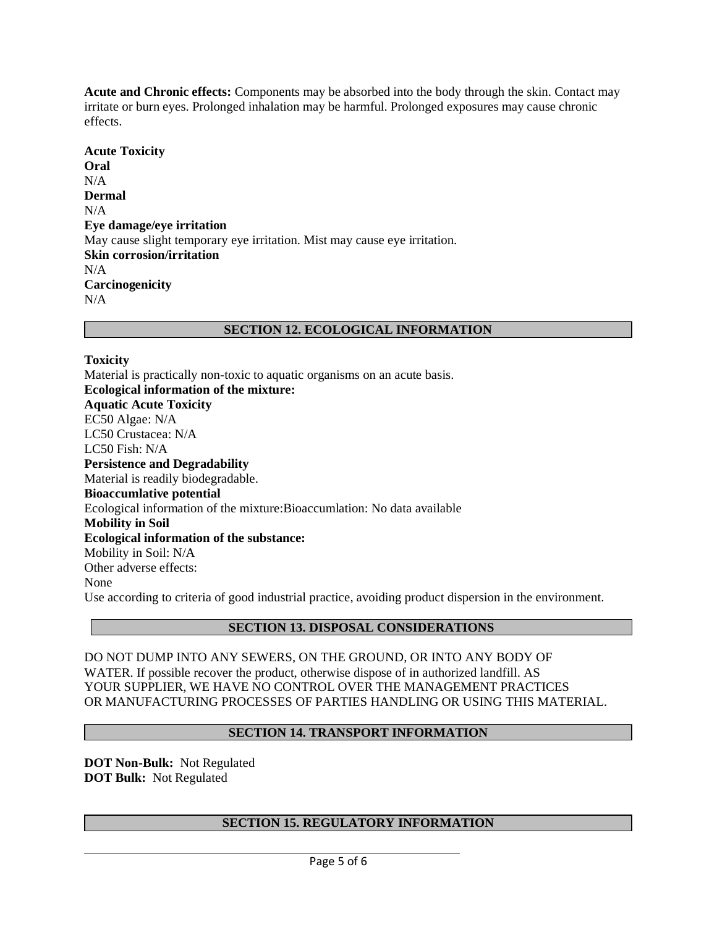**Acute and Chronic effects:** Components may be absorbed into the body through the skin. Contact may irritate or burn eyes. Prolonged inhalation may be harmful. Prolonged exposures may cause chronic effects.

**Acute Toxicity Oral**  N/A **Dermal**   $N/A$ **Eye damage/eye irritation**  May cause slight temporary eye irritation. Mist may cause eye irritation. **Skin corrosion/irritation**  N/A **Carcinogenicity**  N/A

### **SECTION 12. ECOLOGICAL INFORMATION**

#### **Toxicity**

Material is practically non-toxic to aquatic organisms on an acute basis. **Ecological information of the mixture: Aquatic Acute Toxicity**  EC50 Algae: N/A LC50 Crustacea: N/A LC50 Fish:  $N/A$ **Persistence and Degradability**  Material is readily biodegradable. **Bioaccumlative potential**  Ecological information of the mixture:Bioaccumlation: No data available **Mobility in Soil Ecological information of the substance:**  Mobility in Soil: N/A Other adverse effects: None Use according to criteria of good industrial practice, avoiding product dispersion in the environment.

### **SECTION 13. DISPOSAL CONSIDERATIONS**

DO NOT DUMP INTO ANY SEWERS, ON THE GROUND, OR INTO ANY BODY OF WATER. If possible recover the product, otherwise dispose of in authorized landfill. AS YOUR SUPPLIER, WE HAVE NO CONTROL OVER THE MANAGEMENT PRACTICES OR MANUFACTURING PROCESSES OF PARTIES HANDLING OR USING THIS MATERIAL.

### **SECTION 14. TRANSPORT INFORMATION**

**DOT Non-Bulk:** Not Regulated **DOT Bulk:** Not Regulated

# **SECTION 15. REGULATORY INFORMATION**